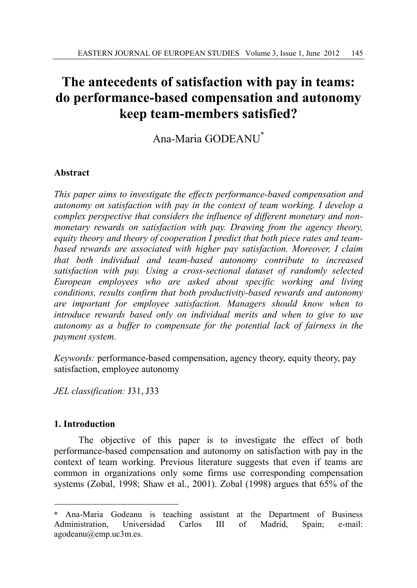# **The antecedents of satisfaction with pay in teams: do performance-based compensation and autonomy keep team-members satisfied?**

Ana-Maria GODEANU\*

# **Abstract**

*This paper aims to investigate the effects performance-based compensation and autonomy on satisfaction with pay in the context of team working. I develop a complex perspective that considers the influence of different monetary and nonmonetary rewards on satisfaction with pay. Drawing from the agency theory, equity theory and theory of cooperation I predict that both piece rates and teambased rewards are associated with higher pay satisfaction. Moreover, I claim that both individual and team-based autonomy contribute to increased satisfaction with pay. Using a cross-sectional dataset of randomly selected European employees who are asked about specific working and living conditions, results confirm that both productivity-based rewards and autonomy are important for employee satisfaction. Managers should know when to introduce rewards based only on individual merits and when to give to use autonomy as a buffer to compensate for the potential lack of fairness in the payment system.* 

*Keywords:* performance-based compensation, agency theory, equity theory, pay satisfaction, employee autonomy

*JEL classification:* J31, J33

### **1. Introduction**

The objective of this paper is to investigate the effect of both performance-based compensation and autonomy on satisfaction with pay in the context of team working. Previous literature suggests that even if teams are common in organizations only some firms use corresponding compensation systems (Zobal, 1998; Shaw et al., 2001). Zobal (1998) argues that 65% of the

 $\overline{a}$ Ana-Maria Godeanu is teaching assistant at the Department of Business Administration, Universidad Carlos III of Madrid, Spain; e-mail: agodeanu@emp.uc3m.es.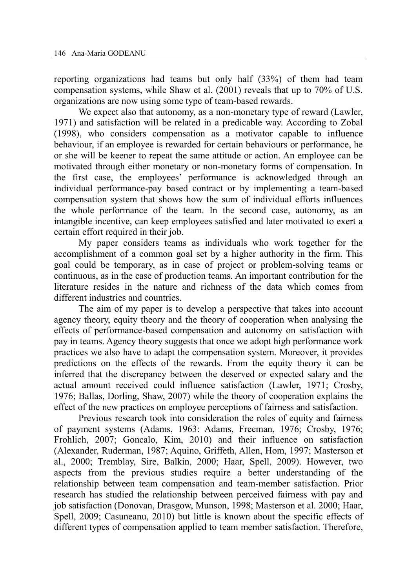reporting organizations had teams but only half (33%) of them had team compensation systems, while Shaw et al. (2001) reveals that up to 70% of U.S. organizations are now using some type of team-based rewards.

 We expect also that autonomy, as a non-monetary type of reward (Lawler, 1971) and satisfaction will be related in a predicable way. According to Zobal (1998), who considers compensation as a motivator capable to influence behaviour, if an employee is rewarded for certain behaviours or performance, he or she will be keener to repeat the same attitude or action. An employee can be motivated through either monetary or non-monetary forms of compensation. In the first case, the employees' performance is acknowledged through an individual performance-pay based contract or by implementing a team-based compensation system that shows how the sum of individual efforts influences the whole performance of the team. In the second case, autonomy, as an intangible incentive, can keep employees satisfied and later motivated to exert a certain effort required in their job.

My paper considers teams as individuals who work together for the accomplishment of a common goal set by a higher authority in the firm. This goal could be temporary, as in case of project or problem-solving teams or continuous, as in the case of production teams. An important contribution for the literature resides in the nature and richness of the data which comes from different industries and countries.

 The aim of my paper is to develop a perspective that takes into account agency theory, equity theory and the theory of cooperation when analysing the effects of performance-based compensation and autonomy on satisfaction with pay in teams. Agency theory suggests that once we adopt high performance work practices we also have to adapt the compensation system. Moreover, it provides predictions on the effects of the rewards. From the equity theory it can be inferred that the discrepancy between the deserved or expected salary and the actual amount received could influence satisfaction (Lawler, 1971; Crosby, 1976; Ballas, Dorling, Shaw, 2007) while the theory of cooperation explains the effect of the new practices on employee perceptions of fairness and satisfaction.

 Previous research took into consideration the roles of equity and fairness of payment systems (Adams, 1963: Adams, Freeman, 1976; Crosby, 1976; Frohlich, 2007; Goncalo, Kim, 2010) and their influence on satisfaction (Alexander, Ruderman, 1987; Aquino, Griffeth, Allen, Hom, 1997; Masterson et al., 2000; Tremblay, Sire, Balkin, 2000; Haar, Spell, 2009). However, two aspects from the previous studies require a better understanding of the relationship between team compensation and team-member satisfaction. Prior research has studied the relationship between perceived fairness with pay and job satisfaction (Donovan, Drasgow, Munson, 1998; Masterson et al. 2000; Haar, Spell, 2009; Casuneanu, 2010) but little is known about the specific effects of different types of compensation applied to team member satisfaction. Therefore,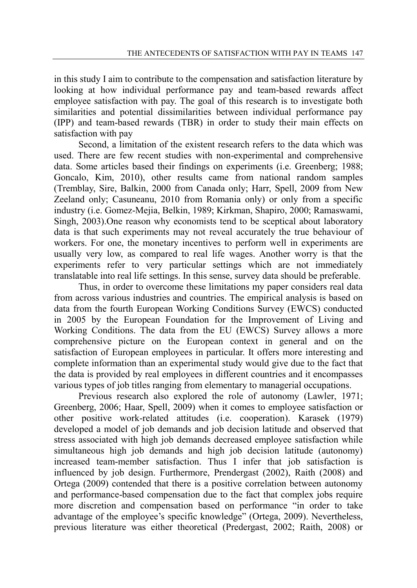in this study I aim to contribute to the compensation and satisfaction literature by looking at how individual performance pay and team-based rewards affect employee satisfaction with pay. The goal of this research is to investigate both similarities and potential dissimilarities between individual performance pay (IPP) and team-based rewards (TBR) in order to study their main effects on satisfaction with pay

 Second, a limitation of the existent research refers to the data which was used. There are few recent studies with non-experimental and comprehensive data. Some articles based their findings on experiments (i.e. Greenberg; 1988; Goncalo, Kim, 2010), other results came from national random samples (Tremblay, Sire, Balkin, 2000 from Canada only; Harr, Spell, 2009 from New Zeeland only; Casuneanu, 2010 from Romania only) or only from a specific industry (i.e. Gomez-Mejia, Belkin, 1989; Kirkman, Shapiro, 2000; Ramaswami, Singh, 2003).One reason why economists tend to be sceptical about laboratory data is that such experiments may not reveal accurately the true behaviour of workers. For one, the monetary incentives to perform well in experiments are usually very low, as compared to real life wages. Another worry is that the experiments refer to very particular settings which are not immediately translatable into real life settings. In this sense, survey data should be preferable.

 Thus, in order to overcome these limitations my paper considers real data from across various industries and countries. The empirical analysis is based on data from the fourth European Working Conditions Survey (EWCS) conducted in 2005 by the European Foundation for the Improvement of Living and Working Conditions. The data from the EU (EWCS) Survey allows a more comprehensive picture on the European context in general and on the satisfaction of European employees in particular. It offers more interesting and complete information than an experimental study would give due to the fact that the data is provided by real employees in different countries and it encompasses various types of job titles ranging from elementary to managerial occupations.

 Previous research also explored the role of autonomy (Lawler, 1971; Greenberg, 2006; Haar, Spell, 2009) when it comes to employee satisfaction or other positive work-related attitudes (i.e. cooperation). Karasek (1979) developed a model of job demands and job decision latitude and observed that stress associated with high job demands decreased employee satisfaction while simultaneous high job demands and high job decision latitude (autonomy) increased team-member satisfaction. Thus I infer that job satisfaction is influenced by job design. Furthermore, Prendergast (2002), Raith (2008) and Ortega (2009) contended that there is a positive correlation between autonomy and performance-based compensation due to the fact that complex jobs require more discretion and compensation based on performance "in order to take advantage of the employee's specific knowledge" (Ortega, 2009). Nevertheless, previous literature was either theoretical (Predergast, 2002; Raith, 2008) or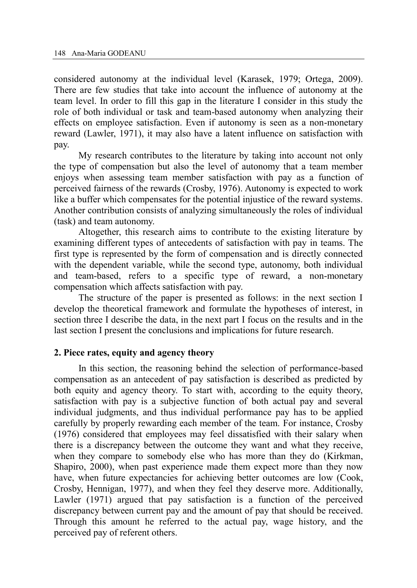considered autonomy at the individual level (Karasek, 1979; Ortega, 2009). There are few studies that take into account the influence of autonomy at the team level. In order to fill this gap in the literature I consider in this study the role of both individual or task and team-based autonomy when analyzing their effects on employee satisfaction. Even if autonomy is seen as a non-monetary reward (Lawler, 1971), it may also have a latent influence on satisfaction with pay.

 My research contributes to the literature by taking into account not only the type of compensation but also the level of autonomy that a team member enjoys when assessing team member satisfaction with pay as a function of perceived fairness of the rewards (Crosby, 1976). Autonomy is expected to work like a buffer which compensates for the potential injustice of the reward systems. Another contribution consists of analyzing simultaneously the roles of individual (task) and team autonomy.

 Altogether, this research aims to contribute to the existing literature by examining different types of antecedents of satisfaction with pay in teams. The first type is represented by the form of compensation and is directly connected with the dependent variable, while the second type, autonomy, both individual and team-based, refers to a specific type of reward, a non-monetary compensation which affects satisfaction with pay.

 The structure of the paper is presented as follows: in the next section I develop the theoretical framework and formulate the hypotheses of interest, in section three I describe the data, in the next part I focus on the results and in the last section I present the conclusions and implications for future research.

#### **2. Piece rates, equity and agency theory**

 In this section, the reasoning behind the selection of performance-based compensation as an antecedent of pay satisfaction is described as predicted by both equity and agency theory. To start with, according to the equity theory, satisfaction with pay is a subjective function of both actual pay and several individual judgments, and thus individual performance pay has to be applied carefully by properly rewarding each member of the team. For instance, Crosby (1976) considered that employees may feel dissatisfied with their salary when there is a discrepancy between the outcome they want and what they receive, when they compare to somebody else who has more than they do (Kirkman, Shapiro, 2000), when past experience made them expect more than they now have, when future expectancies for achieving better outcomes are low (Cook, Crosby, Hennigan, 1977), and when they feel they deserve more. Additionally, Lawler (1971) argued that pay satisfaction is a function of the perceived discrepancy between current pay and the amount of pay that should be received. Through this amount he referred to the actual pay, wage history, and the perceived pay of referent others.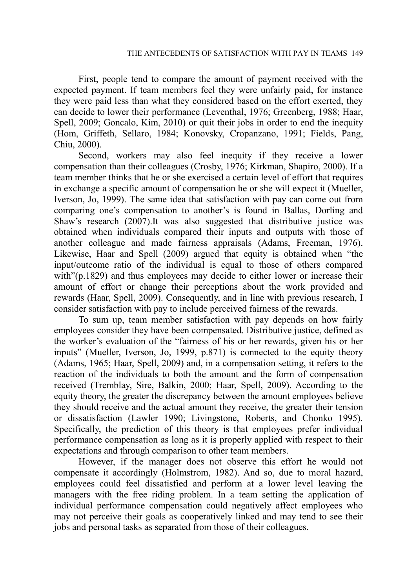First, people tend to compare the amount of payment received with the expected payment. If team members feel they were unfairly paid, for instance they were paid less than what they considered based on the effort exerted, they can decide to lower their performance (Leventhal, 1976; Greenberg, 1988; Haar, Spell, 2009; Goncalo, Kim, 2010) or quit their jobs in order to end the inequity (Hom, Griffeth, Sellaro, 1984; Konovsky, Cropanzano, 1991; Fields, Pang, Chiu, 2000).

 Second, workers may also feel inequity if they receive a lower compensation than their colleagues (Crosby, 1976; Kirkman, Shapiro, 2000). If a team member thinks that he or she exercised a certain level of effort that requires in exchange a specific amount of compensation he or she will expect it (Mueller, Iverson, Jo, 1999). The same idea that satisfaction with pay can come out from comparing one's compensation to another's is found in Ballas, Dorling and Shaw's research (2007).It was also suggested that distributive justice was obtained when individuals compared their inputs and outputs with those of another colleague and made fairness appraisals (Adams, Freeman, 1976). Likewise, Haar and Spell (2009) argued that equity is obtained when "the input/outcome ratio of the individual is equal to those of others compared with"(p.1829) and thus employees may decide to either lower or increase their amount of effort or change their perceptions about the work provided and rewards (Haar, Spell, 2009). Consequently, and in line with previous research, I consider satisfaction with pay to include perceived fairness of the rewards.

 To sum up, team member satisfaction with pay depends on how fairly employees consider they have been compensated. Distributive justice, defined as the worker's evaluation of the "fairness of his or her rewards, given his or her inputs" (Mueller, Iverson, Jo, 1999, p.871) is connected to the equity theory (Adams, 1965; Haar, Spell, 2009) and, in a compensation setting, it refers to the reaction of the individuals to both the amount and the form of compensation received (Tremblay, Sire, Balkin, 2000; Haar, Spell, 2009). According to the equity theory, the greater the discrepancy between the amount employees believe they should receive and the actual amount they receive, the greater their tension or dissatisfaction (Lawler 1990; Livingstone, Roberts, and Chonko 1995). Specifically, the prediction of this theory is that employees prefer individual performance compensation as long as it is properly applied with respect to their expectations and through comparison to other team members.

 However, if the manager does not observe this effort he would not compensate it accordingly (Holmstrom, 1982). And so, due to moral hazard, employees could feel dissatisfied and perform at a lower level leaving the managers with the free riding problem. In a team setting the application of individual performance compensation could negatively affect employees who may not perceive their goals as cooperatively linked and may tend to see their jobs and personal tasks as separated from those of their colleagues.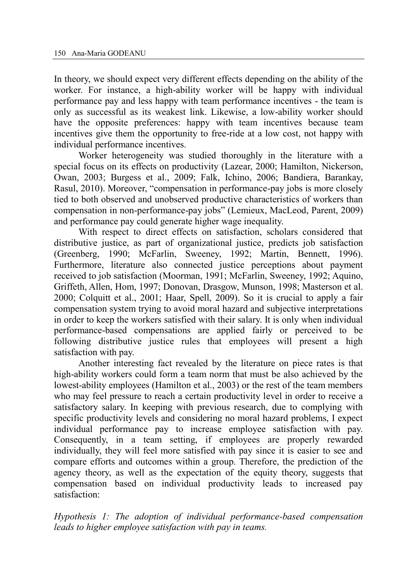In theory, we should expect very different effects depending on the ability of the worker. For instance, a high-ability worker will be happy with individual performance pay and less happy with team performance incentives - the team is only as successful as its weakest link. Likewise, a low-ability worker should have the opposite preferences: happy with team incentives because team incentives give them the opportunity to free-ride at a low cost, not happy with individual performance incentives.

 Worker heterogeneity was studied thoroughly in the literature with a special focus on its effects on productivity (Lazear, 2000; Hamilton, Nickerson, Owan, 2003; Burgess et al., 2009; Falk, Ichino, 2006; Bandiera, Barankay, Rasul, 2010). Moreover, "compensation in performance-pay jobs is more closely tied to both observed and unobserved productive characteristics of workers than compensation in non-performance-pay jobs" (Lemieux, MacLeod, Parent, 2009) and performance pay could generate higher wage inequality.

 With respect to direct effects on satisfaction, scholars considered that distributive justice, as part of organizational justice, predicts job satisfaction (Greenberg, 1990; McFarlin, Sweeney, 1992; Martin, Bennett, 1996). Furthermore, literature also connected justice perceptions about payment received to job satisfaction (Moorman, 1991; McFarlin, Sweeney, 1992; Aquino, Griffeth, Allen, Hom, 1997; Donovan, Drasgow, Munson, 1998; Masterson et al. 2000; Colquitt et al., 2001; Haar, Spell, 2009). So it is crucial to apply a fair compensation system trying to avoid moral hazard and subjective interpretations in order to keep the workers satisfied with their salary. It is only when individual performance-based compensations are applied fairly or perceived to be following distributive justice rules that employees will present a high satisfaction with pay.

 Another interesting fact revealed by the literature on piece rates is that high-ability workers could form a team norm that must be also achieved by the lowest-ability employees (Hamilton et al., 2003) or the rest of the team members who may feel pressure to reach a certain productivity level in order to receive a satisfactory salary. In keeping with previous research, due to complying with specific productivity levels and considering no moral hazard problems, I expect individual performance pay to increase employee satisfaction with pay. Consequently, in a team setting, if employees are properly rewarded individually, they will feel more satisfied with pay since it is easier to see and compare efforts and outcomes within a group. Therefore, the prediction of the agency theory, as well as the expectation of the equity theory, suggests that compensation based on individual productivity leads to increased pay satisfaction:

*Hypothesis 1: The adoption of individual performance-based compensation leads to higher employee satisfaction with pay in teams.*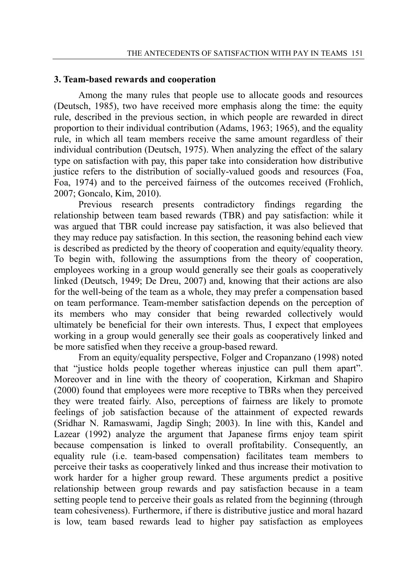#### **3. Team-based rewards and cooperation**

 Among the many rules that people use to allocate goods and resources (Deutsch, 1985), two have received more emphasis along the time: the equity rule, described in the previous section, in which people are rewarded in direct proportion to their individual contribution (Adams, 1963; 1965), and the equality rule, in which all team members receive the same amount regardless of their individual contribution (Deutsch, 1975). When analyzing the effect of the salary type on satisfaction with pay, this paper take into consideration how distributive justice refers to the distribution of socially-valued goods and resources (Foa, Foa, 1974) and to the perceived fairness of the outcomes received (Frohlich, 2007; Goncalo, Kim, 2010).

 Previous research presents contradictory findings regarding the relationship between team based rewards (TBR) and pay satisfaction: while it was argued that TBR could increase pay satisfaction, it was also believed that they may reduce pay satisfaction. In this section, the reasoning behind each view is described as predicted by the theory of cooperation and equity/equality theory. To begin with, following the assumptions from the theory of cooperation, employees working in a group would generally see their goals as cooperatively linked (Deutsch, 1949; De Dreu, 2007) and, knowing that their actions are also for the well-being of the team as a whole, they may prefer a compensation based on team performance. Team-member satisfaction depends on the perception of its members who may consider that being rewarded collectively would ultimately be beneficial for their own interests. Thus, I expect that employees working in a group would generally see their goals as cooperatively linked and be more satisfied when they receive a group-based reward.

 From an equity/equality perspective, Folger and Cropanzano (1998) noted that "justice holds people together whereas injustice can pull them apart". Moreover and in line with the theory of cooperation, Kirkman and Shapiro (2000) found that employees were more receptive to TBRs when they perceived they were treated fairly. Also, perceptions of fairness are likely to promote feelings of job satisfaction because of the attainment of expected rewards (Sridhar N. Ramaswami, Jagdip Singh; 2003). In line with this, Kandel and Lazear (1992) analyze the argument that Japanese firms enjoy team spirit because compensation is linked to overall profitability. Consequently, an equality rule (i.e. team-based compensation) facilitates team members to perceive their tasks as cooperatively linked and thus increase their motivation to work harder for a higher group reward. These arguments predict a positive relationship between group rewards and pay satisfaction because in a team setting people tend to perceive their goals as related from the beginning (through team cohesiveness). Furthermore, if there is distributive justice and moral hazard is low, team based rewards lead to higher pay satisfaction as employees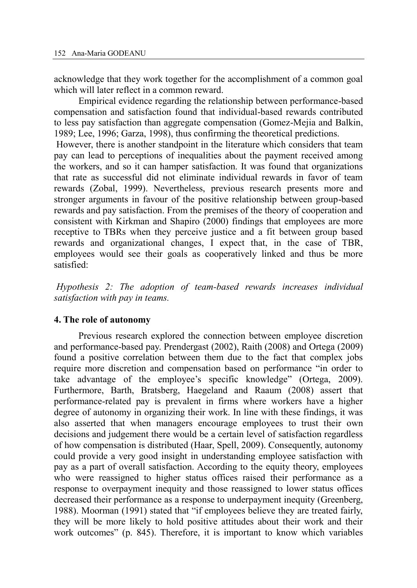acknowledge that they work together for the accomplishment of a common goal which will later reflect in a common reward.

 Empirical evidence regarding the relationship between performance-based compensation and satisfaction found that individual-based rewards contributed to less pay satisfaction than aggregate compensation (Gomez-Mejia and Balkin, 1989; Lee, 1996; Garza, 1998), thus confirming the theoretical predictions.

However, there is another standpoint in the literature which considers that team pay can lead to perceptions of inequalities about the payment received among the workers, and so it can hamper satisfaction. It was found that organizations that rate as successful did not eliminate individual rewards in favor of team rewards (Zobal, 1999). Nevertheless, previous research presents more and stronger arguments in favour of the positive relationship between group-based rewards and pay satisfaction. From the premises of the theory of cooperation and consistent with Kirkman and Shapiro (2000) findings that employees are more receptive to TBRs when they perceive justice and a fit between group based rewards and organizational changes, I expect that, in the case of TBR, employees would see their goals as cooperatively linked and thus be more satisfied:

*Hypothesis 2: The adoption of team-based rewards increases individual satisfaction with pay in teams.* 

#### **4. The role of autonomy**

 Previous research explored the connection between employee discretion and performance-based pay. Prendergast (2002), Raith (2008) and Ortega (2009) found a positive correlation between them due to the fact that complex jobs require more discretion and compensation based on performance "in order to take advantage of the employee's specific knowledge" (Ortega, 2009). Furthermore, Barth, Bratsberg, Haegeland and Raaum (2008) assert that performance-related pay is prevalent in firms where workers have a higher degree of autonomy in organizing their work. In line with these findings, it was also asserted that when managers encourage employees to trust their own decisions and judgement there would be a certain level of satisfaction regardless of how compensation is distributed (Haar, Spell, 2009). Consequently, autonomy could provide a very good insight in understanding employee satisfaction with pay as a part of overall satisfaction. According to the equity theory, employees who were reassigned to higher status offices raised their performance as a response to overpayment inequity and those reassigned to lower status offices decreased their performance as a response to underpayment inequity (Greenberg, 1988). Moorman (1991) stated that "if employees believe they are treated fairly, they will be more likely to hold positive attitudes about their work and their work outcomes" (p. 845). Therefore, it is important to know which variables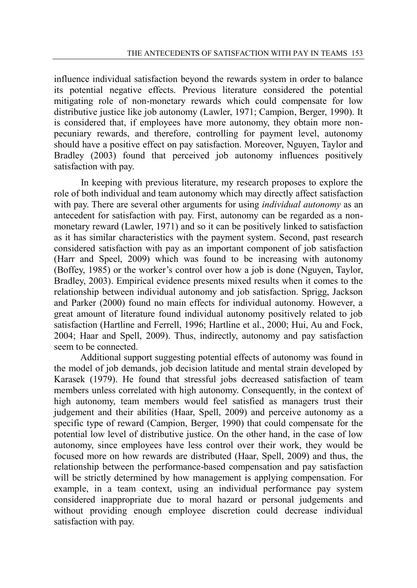influence individual satisfaction beyond the rewards system in order to balance its potential negative effects. Previous literature considered the potential mitigating role of non-monetary rewards which could compensate for low distributive justice like job autonomy (Lawler, 1971; Campion, Berger, 1990). It is considered that, if employees have more autonomy, they obtain more nonpecuniary rewards, and therefore, controlling for payment level, autonomy should have a positive effect on pay satisfaction. Moreover, Nguyen, Taylor and Bradley (2003) found that perceived job autonomy influences positively satisfaction with pay.

 In keeping with previous literature, my research proposes to explore the role of both individual and team autonomy which may directly affect satisfaction with pay. There are several other arguments for using *individual autonomy* as an antecedent for satisfaction with pay. First, autonomy can be regarded as a nonmonetary reward (Lawler, 1971) and so it can be positively linked to satisfaction as it has similar characteristics with the payment system. Second, past research considered satisfaction with pay as an important component of job satisfaction (Harr and Speel, 2009) which was found to be increasing with autonomy (Boffey, 1985) or the worker's control over how a job is done (Nguyen, Taylor, Bradley, 2003). Empirical evidence presents mixed results when it comes to the relationship between individual autonomy and job satisfaction. Sprigg, Jackson and Parker (2000) found no main effects for individual autonomy. However, a great amount of literature found individual autonomy positively related to job satisfaction (Hartline and Ferrell, 1996; Hartline et al., 2000; Hui, Au and Fock, 2004; Haar and Spell, 2009). Thus, indirectly, autonomy and pay satisfaction seem to be connected.

 Additional support suggesting potential effects of autonomy was found in the model of job demands, job decision latitude and mental strain developed by Karasek (1979). He found that stressful jobs decreased satisfaction of team members unless correlated with high autonomy. Consequently, in the context of high autonomy, team members would feel satisfied as managers trust their judgement and their abilities (Haar, Spell, 2009) and perceive autonomy as a specific type of reward (Campion, Berger, 1990) that could compensate for the potential low level of distributive justice. On the other hand, in the case of low autonomy, since employees have less control over their work, they would be focused more on how rewards are distributed (Haar, Spell, 2009) and thus, the relationship between the performance-based compensation and pay satisfaction will be strictly determined by how management is applying compensation. For example, in a team context, using an individual performance pay system considered inappropriate due to moral hazard or personal judgements and without providing enough employee discretion could decrease individual satisfaction with pay.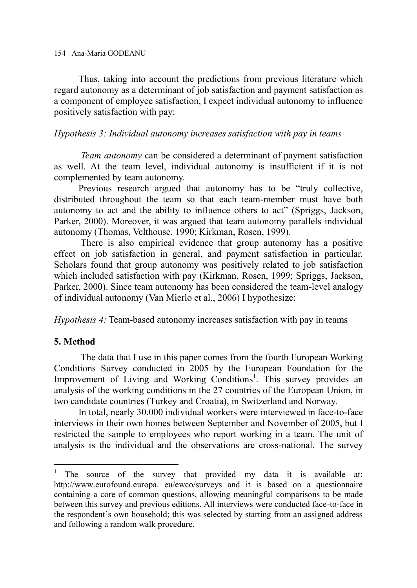Thus, taking into account the predictions from previous literature which regard autonomy as a determinant of job satisfaction and payment satisfaction as a component of employee satisfaction, I expect individual autonomy to influence positively satisfaction with pay:

#### *Hypothesis 3: Individual autonomy increases satisfaction with pay in teams*

 *Team autonomy* can be considered a determinant of payment satisfaction as well. At the team level, individual autonomy is insufficient if it is not complemented by team autonomy.

 Previous research argued that autonomy has to be "truly collective, distributed throughout the team so that each team-member must have both autonomy to act and the ability to influence others to act" (Spriggs, Jackson, Parker, 2000). Moreover, it was argued that team autonomy parallels individual autonomy (Thomas, Velthouse, 1990; Kirkman, Rosen, 1999).

 There is also empirical evidence that group autonomy has a positive effect on job satisfaction in general, and payment satisfaction in particular. Scholars found that group autonomy was positively related to job satisfaction which included satisfaction with pay (Kirkman, Rosen, 1999; Spriggs, Jackson, Parker, 2000). Since team autonomy has been considered the team-level analogy of individual autonomy (Van Mierlo et al., 2006) I hypothesize:

*Hypothesis 4:* Team-based autonomy increases satisfaction with pay in teams

#### **5. Method**

 $\overline{a}$ 

 The data that I use in this paper comes from the fourth European Working Conditions Survey conducted in 2005 by the European Foundation for the Improvement of Living and Working Conditions<sup>1</sup>. This survey provides an analysis of the working conditions in the 27 countries of the European Union, in two candidate countries (Turkey and Croatia), in Switzerland and Norway.

 In total, nearly 30.000 individual workers were interviewed in face-to-face interviews in their own homes between September and November of 2005, but I restricted the sample to employees who report working in a team. The unit of analysis is the individual and the observations are cross-national. The survey

<sup>1</sup> The source of the survey that provided my data it is available at: http://www.eurofound.europa. eu/ewco/surveys and it is based on a questionnaire containing a core of common questions, allowing meaningful comparisons to be made between this survey and previous editions. All interviews were conducted face-to-face in the respondent's own household; this was selected by starting from an assigned address and following a random walk procedure.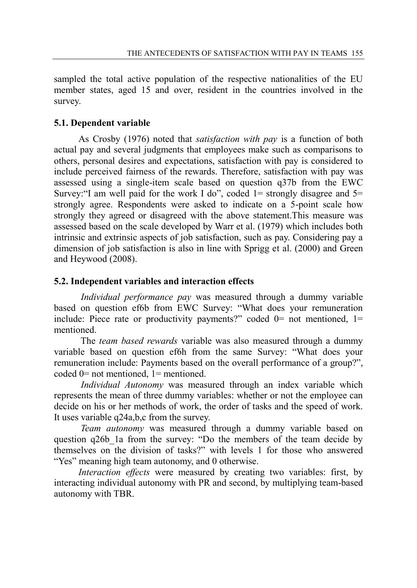sampled the total active population of the respective nationalities of the EU member states, aged 15 and over, resident in the countries involved in the survey.

# **5.1. Dependent variable**

 As Crosby (1976) noted that *satisfaction with pay* is a function of both actual pay and several judgments that employees make such as comparisons to others, personal desires and expectations, satisfaction with pay is considered to include perceived fairness of the rewards. Therefore, satisfaction with pay was assessed using a single-item scale based on question q37b from the EWC Survey:"I am well paid for the work I do", coded  $1 =$  strongly disagree and  $5 =$ strongly agree. Respondents were asked to indicate on a 5-point scale how strongly they agreed or disagreed with the above statement.This measure was assessed based on the scale developed by Warr et al. (1979) which includes both intrinsic and extrinsic aspects of job satisfaction, such as pay. Considering pay a dimension of job satisfaction is also in line with Sprigg et al. (2000) and Green and Heywood (2008).

# **5.2. Independent variables and interaction effects**

 *Individual performance pay* was measured through a dummy variable based on question ef6b from EWC Survey: "What does your remuneration include: Piece rate or productivity payments?" coded  $0=$  not mentioned,  $1=$ mentioned.

 The *team based rewards* variable was also measured through a dummy variable based on question ef6h from the same Survey: "What does your remuneration include: Payments based on the overall performance of a group?", coded 0= not mentioned, 1= mentioned.

 *Individual Autonomy* was measured through an index variable which represents the mean of three dummy variables: whether or not the employee can decide on his or her methods of work, the order of tasks and the speed of work. It uses variable q24a,b,c from the survey.

 *Team autonomy* was measured through a dummy variable based on question q26b\_1a from the survey: "Do the members of the team decide by themselves on the division of tasks?" with levels 1 for those who answered "Yes" meaning high team autonomy, and 0 otherwise.

 *Interaction effects* were measured by creating two variables: first, by interacting individual autonomy with PR and second, by multiplying team-based autonomy with TBR.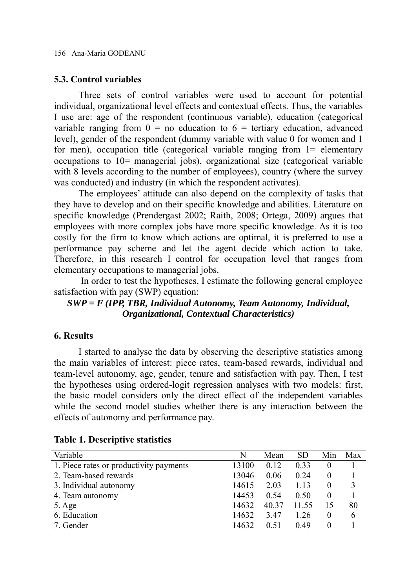#### **5.3. Control variables**

 Three sets of control variables were used to account for potential individual, organizational level effects and contextual effects. Thus, the variables I use are: age of the respondent (continuous variable), education (categorical variable ranging from  $0 =$  no education to  $6 =$  tertiary education, advanced level), gender of the respondent (dummy variable with value 0 for women and 1 for men), occupation title (categorical variable ranging from 1= elementary occupations to 10= managerial jobs), organizational size (categorical variable with 8 levels according to the number of employees), country (where the survey was conducted) and industry (in which the respondent activates).

 The employees' attitude can also depend on the complexity of tasks that they have to develop and on their specific knowledge and abilities. Literature on specific knowledge (Prendergast 2002; Raith, 2008; Ortega, 2009) argues that employees with more complex jobs have more specific knowledge. As it is too costly for the firm to know which actions are optimal, it is preferred to use a performance pay scheme and let the agent decide which action to take. Therefore, in this research I control for occupation level that ranges from elementary occupations to managerial jobs.

 In order to test the hypotheses, I estimate the following general employee satisfaction with pay (SWP) equation:

## *SWP = F (IPP, TBR, Individual Autonomy, Team Autonomy, Individual, Organizational, Contextual Characteristics)*

#### **6. Results**

 I started to analyse the data by observing the descriptive statistics among the main variables of interest: piece rates, team-based rewards, individual and team-level autonomy, age, gender, tenure and satisfaction with pay. Then, I test the hypotheses using ordered-logit regression analyses with two models: first, the basic model considers only the direct effect of the independent variables while the second model studies whether there is any interaction between the effects of autonomy and performance pay.

| Variable                                | N     | Mean  | <b>SD</b> | Min      | Max |
|-----------------------------------------|-------|-------|-----------|----------|-----|
| 1. Piece rates or productivity payments | 13100 | 0.12  | 0.33      | $\theta$ |     |
| 2. Team-based rewards                   | 13046 | 0.06  | 0.24      | $\theta$ |     |
| 3. Individual autonomy                  | 14615 | 2.03  | 1.13      | $\theta$ | 3   |
| 4. Team autonomy                        | 14453 | 0.54  | 0.50      | $\theta$ |     |
| 5. Age                                  | 14632 | 40.37 | 11.55     | 15       | 80  |
| 6. Education                            | 14632 | 3.47  | 1.26      | $\theta$ | 6   |
| 7. Gender                               | 14632 | 0.51  | 0.49      | $\theta$ |     |

#### **Table 1. Descriptive statistics**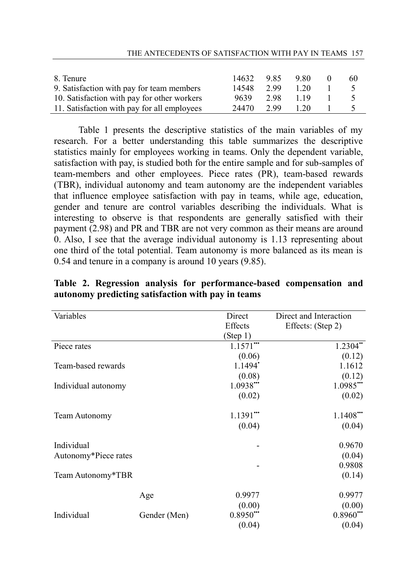| 8. Tenure                                   | 14632 | 985  | 9.80 | 60 |
|---------------------------------------------|-------|------|------|----|
| 9. Satisfaction with pay for team members   | 14548 | 299  | 1 20 |    |
| 10. Satisfaction with pay for other workers | 9639  | 298  | 119  |    |
| 11. Satisfaction with pay for all employees | 24470 | 2.99 | 1.20 |    |

 Table 1 presents the descriptive statistics of the main variables of my research. For a better understanding this table summarizes the descriptive statistics mainly for employees working in teams. Only the dependent variable, satisfaction with pay, is studied both for the entire sample and for sub-samples of team-members and other employees. Piece rates (PR), team-based rewards (TBR), individual autonomy and team autonomy are the independent variables that influence employee satisfaction with pay in teams, while age, education, gender and tenure are control variables describing the individuals. What is interesting to observe is that respondents are generally satisfied with their payment (2.98) and PR and TBR are not very common as their means are around 0. Also, I see that the average individual autonomy is 1.13 representing about one third of the total potential. Team autonomy is more balanced as its mean is 0.54 and tenure in a company is around 10 years (9.85).

| Variables            |              | Direct     | Direct and Interaction |  |
|----------------------|--------------|------------|------------------------|--|
|                      |              | Effects    | Effects: (Step 2)      |  |
|                      |              | (Step 1)   |                        |  |
| Piece rates          |              | $1.1571$ " | $1.2304$ "             |  |
|                      |              | (0.06)     | (0.12)                 |  |
| Team-based rewards   |              | 1.1494     | 1.1612                 |  |
|                      |              | (0.08)     | (0.12)                 |  |
| Individual autonomy  |              | $1.0938$ " | $1.0985$ "             |  |
|                      |              | (0.02)     | (0.02)                 |  |
| Team Autonomy        |              | $1.1391$   | $1.1408$ <sup>**</sup> |  |
|                      |              | (0.04)     | (0.04)                 |  |
| Individual           |              |            | 0.9670                 |  |
| Autonomy*Piece rates |              |            | (0.04)                 |  |
|                      |              |            | 0.9808                 |  |
| Team Autonomy*TBR    |              |            | (0.14)                 |  |
|                      | Age          | 0.9977     | 0.9977                 |  |
|                      |              | (0.00)     | (0.00)                 |  |
| Individual           | Gender (Men) | $0.8950$ " | $0.8960$ "             |  |
|                      |              | (0.04)     | (0.04)                 |  |

**Table 2. Regression analysis for performance-based compensation and autonomy predicting satisfaction with pay in teams**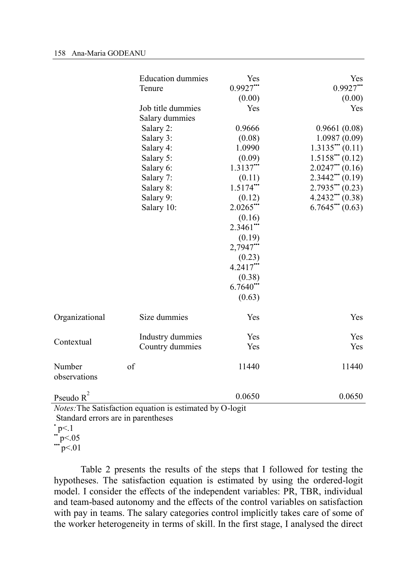|                                                          | <b>Education dummies</b> | Yes        | Yes                 |  |  |
|----------------------------------------------------------|--------------------------|------------|---------------------|--|--|
|                                                          | Tenure                   | $0.9927$ " | $0.9927$ "          |  |  |
|                                                          |                          | (0.00)     | (0.00)              |  |  |
|                                                          | Job title dummies        | Yes        | Yes                 |  |  |
|                                                          | Salary dummies           |            |                     |  |  |
|                                                          | Salary 2:                | 0.9666     | 0.9661(0.08)        |  |  |
|                                                          | Salary 3:                | (0.08)     | 1.0987(0.09)        |  |  |
|                                                          | Salary 4:                | 1.0990     | $1.3135$ " $(0.11)$ |  |  |
|                                                          | Salary 5:                | (0.09)     | $1.5158$ " (0.12)   |  |  |
|                                                          | Salary 6:                | $1.3137$ " | $2.0247$ " (0.16)   |  |  |
|                                                          | Salary 7:                | (0.11)     | $2.3442$ (0.19)     |  |  |
|                                                          | Salary 8:                | $1.5174$ " | 2.7935'''(0.23)     |  |  |
|                                                          | Salary 9:                | (0.12)     | $4.2432$ (0.38)     |  |  |
|                                                          | Salary 10:               | $2.0265$ " | $6.7645$ " $(0.63)$ |  |  |
|                                                          |                          | (0.16)     |                     |  |  |
|                                                          |                          | $2.3461$   |                     |  |  |
|                                                          |                          | (0.19)     |                     |  |  |
|                                                          |                          | $2,7947$ " |                     |  |  |
|                                                          |                          | (0.23)     |                     |  |  |
|                                                          |                          | $4.2417$ " |                     |  |  |
|                                                          |                          | (0.38)     |                     |  |  |
|                                                          |                          | $6.7640$ " |                     |  |  |
|                                                          |                          | (0.63)     |                     |  |  |
|                                                          |                          |            |                     |  |  |
| Organizational                                           | Size dummies             | Yes        | Yes                 |  |  |
|                                                          | Industry dummies         | Yes        | Yes                 |  |  |
| Contextual                                               | Country dummies          | Yes        | Yes                 |  |  |
|                                                          |                          |            |                     |  |  |
| Number                                                   | of                       | 11440      | 11440               |  |  |
| observations                                             |                          |            |                     |  |  |
| Pseudo $R^2$                                             |                          | 0.0650     | 0.0650              |  |  |
| Notes: The Satisfaction equation is estimated by O-logit |                          |            |                     |  |  |

Standard errors are in parentheses

 Table 2 presents the results of the steps that I followed for testing the hypotheses. The satisfaction equation is estimated by using the ordered-logit model. I consider the effects of the independent variables: PR, TBR, individual and team-based autonomy and the effects of the control variables on satisfaction with pay in teams. The salary categories control implicitly takes care of some of the worker heterogeneity in terms of skill. In the first stage, I analysed the direct

 $\cdot$  p $\leq$ .1

 $\ddot{p}$  = p < 0.05

 $\ddot{p}$  = 01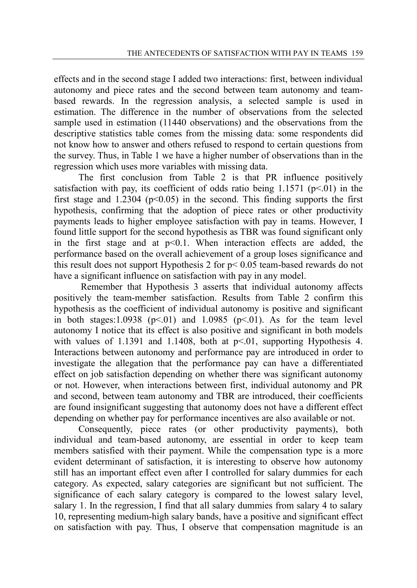effects and in the second stage I added two interactions: first, between individual autonomy and piece rates and the second between team autonomy and teambased rewards. In the regression analysis, a selected sample is used in estimation. The difference in the number of observations from the selected sample used in estimation (11440 observations) and the observations from the descriptive statistics table comes from the missing data: some respondents did not know how to answer and others refused to respond to certain questions from the survey. Thus, in Table 1 we have a higher number of observations than in the regression which uses more variables with missing data.

 The first conclusion from Table 2 is that PR influence positively satisfaction with pay, its coefficient of odds ratio being  $1.1571$  ( $p<01$ ) in the first stage and 1.2304 ( $p \le 0.05$ ) in the second. This finding supports the first hypothesis, confirming that the adoption of piece rates or other productivity payments leads to higher employee satisfaction with pay in teams. However, I found little support for the second hypothesis as TBR was found significant only in the first stage and at  $p<0.1$ . When interaction effects are added, the performance based on the overall achievement of a group loses significance and this result does not support Hypothesis 2 for p< 0.05 team-based rewards do not have a significant influence on satisfaction with pay in any model.

 Remember that Hypothesis 3 asserts that individual autonomy affects positively the team-member satisfaction. Results from Table 2 confirm this hypothesis as the coefficient of individual autonomy is positive and significant in both stages:1.0938 ( $p<01$ ) and 1.0985 ( $p<01$ ). As for the team level autonomy I notice that its effect is also positive and significant in both models with values of 1.1391 and 1.1408, both at  $p<01$ , supporting Hypothesis 4. Interactions between autonomy and performance pay are introduced in order to investigate the allegation that the performance pay can have a differentiated effect on job satisfaction depending on whether there was significant autonomy or not. However, when interactions between first, individual autonomy and PR and second, between team autonomy and TBR are introduced, their coefficients are found insignificant suggesting that autonomy does not have a different effect depending on whether pay for performance incentives are also available or not.

 Consequently, piece rates (or other productivity payments), both individual and team-based autonomy, are essential in order to keep team members satisfied with their payment. While the compensation type is a more evident determinant of satisfaction, it is interesting to observe how autonomy still has an important effect even after I controlled for salary dummies for each category. As expected, salary categories are significant but not sufficient. The significance of each salary category is compared to the lowest salary level, salary 1. In the regression, I find that all salary dummies from salary 4 to salary 10, representing medium-high salary bands, have a positive and significant effect on satisfaction with pay. Thus, I observe that compensation magnitude is an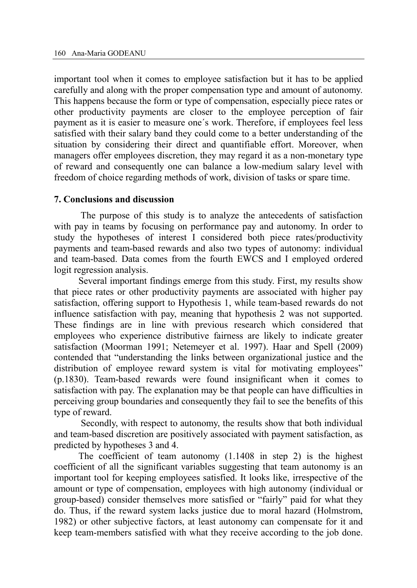important tool when it comes to employee satisfaction but it has to be applied carefully and along with the proper compensation type and amount of autonomy. This happens because the form or type of compensation, especially piece rates or other productivity payments are closer to the employee perception of fair payment as it is easier to measure one´s work. Therefore, if employees feel less satisfied with their salary band they could come to a better understanding of the situation by considering their direct and quantifiable effort. Moreover, when managers offer employees discretion, they may regard it as a non-monetary type of reward and consequently one can balance a low-medium salary level with freedom of choice regarding methods of work, division of tasks or spare time.

#### **7. Conclusions and discussion**

 The purpose of this study is to analyze the antecedents of satisfaction with pay in teams by focusing on performance pay and autonomy. In order to study the hypotheses of interest I considered both piece rates/productivity payments and team-based rewards and also two types of autonomy: individual and team-based. Data comes from the fourth EWCS and I employed ordered logit regression analysis.

 Several important findings emerge from this study. First, my results show that piece rates or other productivity payments are associated with higher pay satisfaction, offering support to Hypothesis 1, while team-based rewards do not influence satisfaction with pay, meaning that hypothesis 2 was not supported. These findings are in line with previous research which considered that employees who experience distributive fairness are likely to indicate greater satisfaction (Moorman 1991; Netemeyer et al. 1997). Haar and Spell (2009) contended that "understanding the links between organizational justice and the distribution of employee reward system is vital for motivating employees" (p.1830). Team-based rewards were found insignificant when it comes to satisfaction with pay. The explanation may be that people can have difficulties in perceiving group boundaries and consequently they fail to see the benefits of this type of reward.

 Secondly, with respect to autonomy, the results show that both individual and team-based discretion are positively associated with payment satisfaction, as predicted by hypotheses 3 and 4.

 The coefficient of team autonomy (1.1408 in step 2) is the highest coefficient of all the significant variables suggesting that team autonomy is an important tool for keeping employees satisfied. It looks like, irrespective of the amount or type of compensation, employees with high autonomy (individual or group-based) consider themselves more satisfied or "fairly" paid for what they do. Thus, if the reward system lacks justice due to moral hazard (Holmstrom, 1982) or other subjective factors, at least autonomy can compensate for it and keep team-members satisfied with what they receive according to the job done.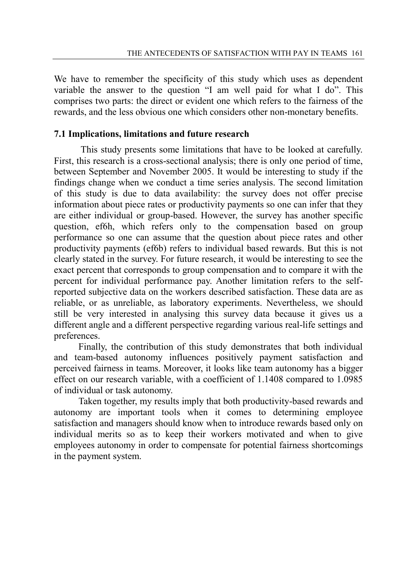We have to remember the specificity of this study which uses as dependent variable the answer to the question "I am well paid for what I do". This comprises two parts: the direct or evident one which refers to the fairness of the rewards, and the less obvious one which considers other non-monetary benefits.

## **7.1 Implications, limitations and future research**

 This study presents some limitations that have to be looked at carefully. First, this research is a cross-sectional analysis; there is only one period of time, between September and November 2005. It would be interesting to study if the findings change when we conduct a time series analysis. The second limitation of this study is due to data availability: the survey does not offer precise information about piece rates or productivity payments so one can infer that they are either individual or group-based. However, the survey has another specific question, ef6h, which refers only to the compensation based on group performance so one can assume that the question about piece rates and other productivity payments (ef6b) refers to individual based rewards. But this is not clearly stated in the survey. For future research, it would be interesting to see the exact percent that corresponds to group compensation and to compare it with the percent for individual performance pay. Another limitation refers to the selfreported subjective data on the workers described satisfaction. These data are as reliable, or as unreliable, as laboratory experiments. Nevertheless, we should still be very interested in analysing this survey data because it gives us a different angle and a different perspective regarding various real-life settings and preferences.

 Finally, the contribution of this study demonstrates that both individual and team-based autonomy influences positively payment satisfaction and perceived fairness in teams. Moreover, it looks like team autonomy has a bigger effect on our research variable, with a coefficient of 1.1408 compared to 1.0985 of individual or task autonomy.

 Taken together, my results imply that both productivity-based rewards and autonomy are important tools when it comes to determining employee satisfaction and managers should know when to introduce rewards based only on individual merits so as to keep their workers motivated and when to give employees autonomy in order to compensate for potential fairness shortcomings in the payment system.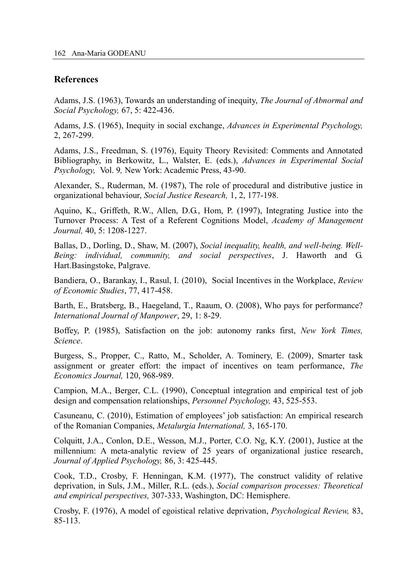#### **References**

Adams, J.S. (1963), Towards an understanding of inequity, *The Journal of Abnormal and Social Psychology,* 67, 5: 422-436.

Adams, J.S. (1965), Inequity in social exchange, *Advances in Experimental Psychology,*  2, 267-299.

Adams, J.S., Freedman, S. (1976), Equity Theory Revisited: Comments and Annotated Bibliography, in Berkowitz, L., Walster, E. (eds.), *Advances in Experimental Social Psychology,* Vol. 9*,* New York: Academic Press, 43-90.

Alexander, S., Ruderman, M. (1987), The role of procedural and distributive justice in organizational behaviour, *Social Justice Research,* 1, 2, 177-198.

Aquino, K., Griffeth, R.W., Allen, D.G., Hom, P. (1997), Integrating Justice into the Turnover Process: A Test of a Referent Cognitions Model, *Academy of Management Journal,* 40, 5: 1208-1227.

Ballas, D., Dorling, D., Shaw, M. (2007), *Social inequality, health, and well-being. Well-Being: individual, community, and social perspectives*, J. Haworth and G. Hart.Basingstoke, Palgrave.

Bandiera, O., Barankay, I., Rasul, I. (2010), Social Incentives in the Workplace, *Review of Economic Studies*, 77, 417-458.

Barth, E., Bratsberg, B., Haegeland, T., Raaum, O. (2008), Who pays for performance? *International Journal of Manpower*, 29, 1: 8-29.

Boffey, P. (1985), Satisfaction on the job: autonomy ranks first, *New York Times, Science*.

Burgess, S., Propper, C., Ratto, M., Scholder, A. Tominery, E. (2009), Smarter task assignment or greater effort: the impact of incentives on team performance, *The Economics Journal,* 120, 968-989.

Campion, M.A., Berger, C.L. (1990), Conceptual integration and empirical test of job design and compensation relationships, *Personnel Psychology,* 43, 525-553.

Casuneanu, C. (2010), Estimation of employees' job satisfaction: An empirical research of the Romanian Companies, *Metalurgia International,* 3, 165-170.

Colquitt, J.A., Conlon, D.E., Wesson, M.J., Porter, C.O. Ng, K.Y. (2001), Justice at the millennium: A meta-analytic review of 25 years of organizational justice research, *Journal of Applied Psychology,* 86, 3: 425-445.

Cook, T.D., Crosby, F. Henningan, K.M. (1977), The construct validity of relative deprivation, in Suls, J.M., Miller, R.L. (eds.), *Social comparison processes: Theoretical and empirical perspectives,* 307-333, Washington, DC: Hemisphere.

Crosby, F. (1976), A model of egoistical relative deprivation, *Psychological Review,* 83, 85-113.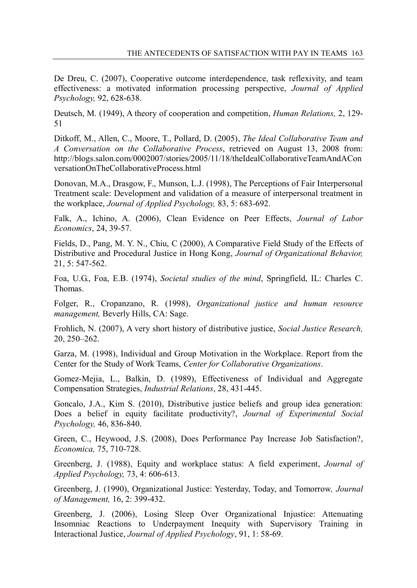De Dreu, C. (2007), Cooperative outcome interdependence, task reflexivity, and team effectiveness: a motivated information processing perspective, *Journal of Applied Psychology,* 92, 628-638.

Deutsch, M. (1949), A theory of cooperation and competition, *Human Relations,* 2, 129- 51

Ditkoff, M., Allen, C., Moore, T., Pollard, D. (2005), *The Ideal Collaborative Team and A Conversation on the Collaborative Process*, retrieved on August 13, 2008 from: http://blogs.salon.com/0002007/stories/2005/11/18/theIdealCollaborativeTeamAndACon versationOnTheCollaborativeProcess.html

Donovan, M.A., Drasgow, F., Munson, L.J. (1998), The Perceptions of Fair Interpersonal Treatment scale: Development and validation of a measure of interpersonal treatment in the workplace, *Journal of Applied Psychology,* 83, 5: 683-692.

Falk, A., Ichino, A. (2006), Clean Evidence on Peer Effects, *Journal of Labor Economics*, 24, 39-57.

Fields, D., Pang, M. Y. N., Chiu, C (2000), A Comparative Field Study of the Effects of Distributive and Procedural Justice in Hong Kong, *Journal of Organizational Behavior,*  21, 5: 547-562.

Foa, U.G., Foa, E.B. (1974), *Societal studies of the mind*, Springfield, IL: Charles C. Thomas.

Folger, R., Cropanzano, R. (1998), *Organizational justice and human resource management,* Beverly Hills, CA: Sage.

Frohlich, N. (2007), A very short history of distributive justice, *Social Justice Research,*  20, 250–262.

Garza, M. (1998), Individual and Group Motivation in the Workplace. Report from the Center for the Study of Work Teams, *Center for Collaborative Organizations*.

Gomez-Mejia, L., Balkin, D. (1989), Effectiveness of Individual and Aggregate Compensation Strategies, *Industrial Relations*, 28, 431-445.

Goncalo, J.A., Kim S. (2010), Distributive justice beliefs and group idea generation: Does a belief in equity facilitate productivity?, *Journal of Experimental Social Psychology,* 46, 836-840.

Green, C., Heywood, J.S. (2008), Does Performance Pay Increase Job Satisfaction?, *Economica,* 75, 710-728.

Greenberg, J. (1988), Equity and workplace status: A field experiment, *Journal of Applied Psychology,* 73, 4: 606-613.

Greenberg, J. (1990), Organizational Justice: Yesterday, Today, and Tomorrow*, Journal of Management,* 16, 2: 399-432.

Greenberg, J. (2006), Losing Sleep Over Organizational Injustice: Attenuating Insomniac Reactions to Underpayment Inequity with Supervisory Training in Interactional Justice, *Journal of Applied Psychology*, 91, 1: 58-69.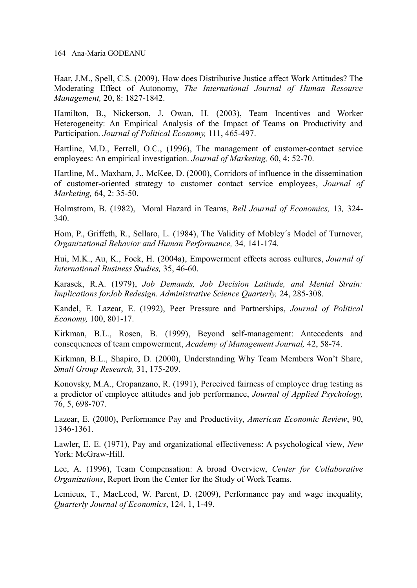Haar, J.M., Spell, C.S. (2009), How does Distributive Justice affect Work Attitudes? The Moderating Effect of Autonomy, *The International Journal of Human Resource Management,* 20, 8: 1827-1842.

Hamilton, B., Nickerson, J. Owan, H. (2003), Team Incentives and Worker Heterogeneity: An Empirical Analysis of the Impact of Teams on Productivity and Participation. *Journal of Political Economy,* 111, 465-497.

Hartline, M.D., Ferrell, O.C., (1996), The management of customer-contact service employees: An empirical investigation. *Journal of Marketing,* 60, 4: 52-70.

Hartline, M., Maxham, J., McKee, D. (2000), Corridors of influence in the dissemination of customer-oriented strategy to customer contact service employees, *Journal of Marketing,* 64, 2: 35-50.

Holmstrom, B. (1982), Moral Hazard in Teams, *Bell Journal of Economics,* 13*,* 324- 340.

Hom, P., Griffeth, R., Sellaro, L. (1984), The Validity of Mobley´s Model of Turnover, *Organizational Behavior and Human Performance,* 34*,* 141-174.

Hui, M.K., Au, K., Fock, H. (2004a), Empowerment effects across cultures, *Journal of International Business Studies,* 35, 46-60.

Karasek, R.A. (1979), *Job Demands, Job Decision Latitude, and Mental Strain: Implications forJob Redesign. Administrative Science Quarterly,* 24, 285-308.

Kandel, E. Lazear, E. (1992), Peer Pressure and Partnerships, *Journal of Political Economy,* 100, 801-17.

Kirkman, B.L., Rosen, B. (1999), Beyond self-management: Antecedents and consequences of team empowerment, *Academy of Management Journal,* 42, 58-74.

Kirkman, B.L., Shapiro, D. (2000), Understanding Why Team Members Won't Share, *Small Group Research,* 31, 175-209.

Konovsky, M.A., Cropanzano, R. (1991), Perceived fairness of employee drug testing as a predictor of employee attitudes and job performance, *Journal of Applied Psychology,*  76, 5, 698-707.

Lazear, E. (2000), Performance Pay and Productivity, *American Economic Review*, 90, 1346-1361.

Lawler, E. E. (1971), Pay and organizational effectiveness: A psychological view, *New*  York: McGraw-Hill.

Lee, A. (1996), Team Compensation: A broad Overview, *Center for Collaborative Organizations*, Report from the Center for the Study of Work Teams.

Lemieux, T., MacLeod, W. Parent, D. (2009), Performance pay and wage inequality, *Quarterly Journal of Economics*, 124, 1, 1-49.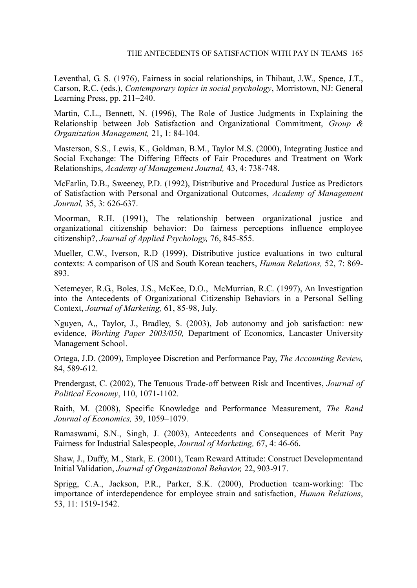Leventhal, G. S. (1976), Fairness in social relationships, in Thibaut, J.W., Spence, J.T., Carson, R.C. (eds.), *Contemporary topics in social psychology*, Morristown, NJ: General Learning Press, pp. 211–240.

Martin, C.L., Bennett, N. (1996), The Role of Justice Judgments in Explaining the Relationship between Job Satisfaction and Organizational Commitment, *Group & Organization Management,* 21, 1: 84-104.

Masterson, S.S., Lewis, K., Goldman, B.M., Taylor M.S. (2000), Integrating Justice and Social Exchange: The Differing Effects of Fair Procedures and Treatment on Work Relationships, *Academy of Management Journal,* 43, 4: 738-748.

McFarlin, D.B., Sweeney, P.D. (1992), Distributive and Procedural Justice as Predictors of Satisfaction with Personal and Organizational Outcomes, *Academy of Management Journal,* 35, 3: 626-637.

Moorman, R.H. (1991), The relationship between organizational justice and organizational citizenship behavior: Do fairness perceptions influence employee citizenship?, *Journal of Applied Psychology,* 76, 845-855.

Mueller, C.W., Iverson, R.D (1999), Distributive justice evaluations in two cultural contexts: A comparison of US and South Korean teachers, *Human Relations,* 52, 7: 869- 893.

Netemeyer, R.G., Boles, J.S., McKee, D.O., McMurrian, R.C. (1997), An Investigation into the Antecedents of Organizational Citizenship Behaviors in a Personal Selling Context, *Journal of Marketing,* 61, 85-98, July.

Nguyen, A,, Taylor, J., Bradley, S. (2003), Job autonomy and job satisfaction: new evidence, *Working Paper 2003/050,* Department of Economics, Lancaster University Management School.

Ortega, J.D. (2009), Employee Discretion and Performance Pay, *The Accounting Review,*  84, 589-612.

Prendergast, C. (2002), The Tenuous Trade-off between Risk and Incentives, *Journal of Political Economy*, 110, 1071-1102.

Raith, M. (2008), Specific Knowledge and Performance Measurement, *The Rand Journal of Economics,* 39, 1059–1079.

Ramaswami, S.N., Singh, J. (2003), Antecedents and Consequences of Merit Pay Fairness for Industrial Salespeople, *Journal of Marketing,* 67, 4: 46-66.

Shaw, J., Duffy, M., Stark, E. (2001), Team Reward Attitude: Construct Developmentand Initial Validation, *Journal of Organizational Behavior,* 22, 903-917.

Sprigg, C.A., Jackson, P.R., Parker, S.K. (2000), Production team-working: The importance of interdependence for employee strain and satisfaction, *Human Relations*, 53, 11: 1519-1542.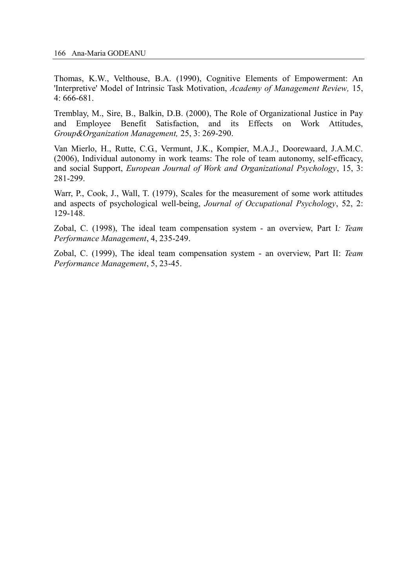Thomas, K.W., Velthouse, B.A. (1990), Cognitive Elements of Empowerment: An 'Interpretive' Model of Intrinsic Task Motivation, *Academy of Management Review,* 15, 4: 666-681.

Tremblay, M., Sire, B., Balkin, D.B. (2000), The Role of Organizational Justice in Pay and Employee Benefit Satisfaction, and its Effects on Work Attitudes, *Group&Organization Management,* 25, 3: 269-290.

Van Mierlo, H., Rutte, C.G., Vermunt, J.K., Kompier, M.A.J., Doorewaard, J.A.M.C. (2006), Individual autonomy in work teams: The role of team autonomy, self-efficacy, and social Support, *European Journal of Work and Organizational Psychology*, 15, 3: 281-299.

Warr, P., Cook, J., Wall, T. (1979), Scales for the measurement of some work attitudes and aspects of psychological well-being, *Journal of Occupational Psychology*, 52, 2: 129-148.

Zobal, C. (1998), The ideal team compensation system - an overview, Part I*: Team Performance Management*, 4, 235-249.

Zobal, C. (1999), The ideal team compensation system - an overview, Part II: *Team Performance Management*, 5, 23-45.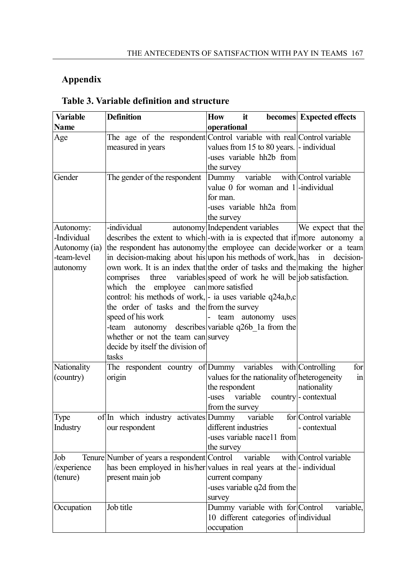# **Appendix**

| <b>Variable</b>                                                      | <b>Definition</b>                                                                                                                                                                                                                                                                                                                                                                                                                                                                                                                                                                                          | <b>How</b><br>it                                                                                                                                                             | becomes Expected effects                         |
|----------------------------------------------------------------------|------------------------------------------------------------------------------------------------------------------------------------------------------------------------------------------------------------------------------------------------------------------------------------------------------------------------------------------------------------------------------------------------------------------------------------------------------------------------------------------------------------------------------------------------------------------------------------------------------------|------------------------------------------------------------------------------------------------------------------------------------------------------------------------------|--------------------------------------------------|
| <b>Name</b>                                                          |                                                                                                                                                                                                                                                                                                                                                                                                                                                                                                                                                                                                            | operational                                                                                                                                                                  |                                                  |
| Age                                                                  | The age of the respondent Control variable with real Control variable<br>measured in years                                                                                                                                                                                                                                                                                                                                                                                                                                                                                                                 | values from 15 to 80 years. - individual<br>-uses variable hh <sub>2b</sub> from<br>the survey                                                                               |                                                  |
| Gender                                                               | The gender of the respondent                                                                                                                                                                                                                                                                                                                                                                                                                                                                                                                                                                               | Dummy variable with Control variable<br>value $0$ for woman and $1$ -individual<br>for man.<br>-uses variable hh2a from<br>the survey                                        |                                                  |
| Autonomy:<br>-Individual<br>Autonomy (ia)<br>-team-level<br>autonomy | -individual<br>describes the extent to which-with ia is expected that if more autonomy a<br>the respondent has autonomy the employee can decide worker or a team<br>in decision-making about his upon his methods of work, has<br>own work. It is an index that the order of tasks and the making the higher<br>comprises<br>three<br>employee can more satisfied<br>which the<br>control: his methods of work, - ia uses variable q24a,b,c<br>the order of tasks and the from the survey<br>speed of his work<br>-team<br>whether or not the team can survey<br>decide by itself the division of<br>tasks | autonomy Independent variables<br>variables speed of work he will be job satisfaction.<br>team autonomy uses<br>$\mathbf{L}$<br>autonomy describes variable q26b 1a from the | We expect that the<br>in<br>decision-            |
| Nationality<br>(country)                                             | The respondent country of Dummy variables with Controlling<br>origin                                                                                                                                                                                                                                                                                                                                                                                                                                                                                                                                       | values for the nationality of heterogeneity<br>the respondent<br>-uses variable<br>from the survey                                                                           | for<br>in<br>nationality<br>country - contextual |
| Type<br>Industry                                                     | of In which industry activates Dummy<br>our respondent                                                                                                                                                                                                                                                                                                                                                                                                                                                                                                                                                     | variable<br>different industries<br>-uses variable nace11 from<br>the survey                                                                                                 | for Control variable<br>- contextual             |
| Job<br>/experience<br>(tenure)                                       | Tenure Number of years a respondent Control variable<br>has been employed in his/her values in real years at the - individual<br>present main job                                                                                                                                                                                                                                                                                                                                                                                                                                                          | current company<br>-uses variable q2d from the<br>survey                                                                                                                     | with Control variable                            |
| Occupation                                                           | Job title                                                                                                                                                                                                                                                                                                                                                                                                                                                                                                                                                                                                  | Dummy variable with for Control<br>10 different categories of individual<br>occupation                                                                                       | variable,                                        |

# **Table 3. Variable definition and structure**